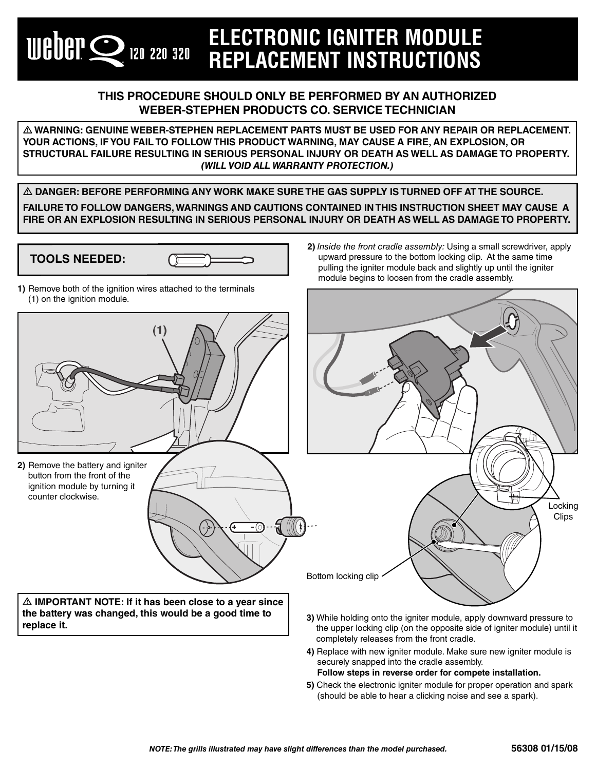## **ELECTRONIC IGNITER MODULE REPLACEMENT INSTRUCTIONS**

## **THIS PROCEDURE SHOULD ONLY BE PERFORMED BY AN AUTHORIZED WEBER-STEPHEN PRODUCTS CO. SERVICE TECHNICIAN**

 $\Delta$  WARNING: GENUINE WEBER-STEPHEN REPLACEMENT PARTS MUST BE USED FOR ANY REPAIR OR REPLACEMENT. **YOUR ACTIONS, IF YOU FAIL TO FOLLOW THIS PRODUCT WARNING, MAY CAUSE A FIRE, AN EXPLOSION, OR STRUCTURAL FAILURE RESULTING IN SERIOUS PERSONAL INJURY OR DEATH AS WELL AS DAMAGE TO PROPERTY.**  *(WILL VOID ALL WARRANTY PROTECTION.)*

 $\Delta$  DANGER: BEFORE PERFORMING ANY WORK MAKE SURE THE GAS SUPPLY IS TURNED OFF AT THE SOURCE. **FAILURE TO FOLLOW DANGERS, WARNINGS AND CAUTIONS CONTAINED IN THIS INSTRUCTION SHEET MAY CAUSE A FIRE OR AN EXPLOSION RESULTING IN SERIOUS PERSONAL INJURY OR DEATH AS WELL AS DAMAGE TO PROPERTY.**

## **2)** Inside the front cradle assembly: Using a small screwdriver, apply **TOOLS NEEDED:** upward pressure to the bottom locking clip. At the same time pulling the igniter module back and slightly up until the igniter module begins to loosen from the cradle assembly. **1)** Remove both of the ignition wires attached to the terminals (1) on the ignition module.  $(1)$ **2)** Remove the battery and igniter button from the front of the ignition module by turning it counter clockwise. Locking **Clips** Bottom locking clip  $\triangle$  IMPORTANT NOTE: If it has been close to a year since **the battery was changed, this would be a good time to 3)** While holding onto the igniter module, apply downward pressure to **replace it.**

- the upper locking clip (on the opposite side of igniter module) until it completely releases from the front cradle.
	- **4)** Replace with new igniter module. Make sure new igniter module is securely snapped into the cradle assembly. **Follow steps in reverse order for compete installation.**
	- **5)** Check the electronic igniter module for proper operation and spark (should be able to hear a clicking noise and see a spark).